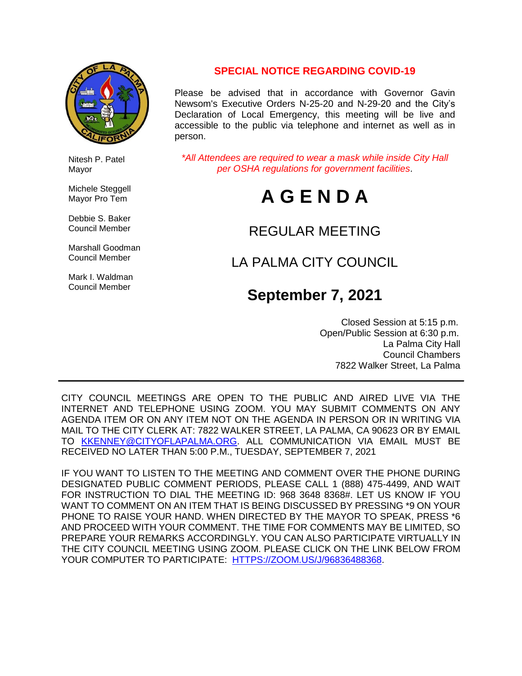

 Nitesh P. Patel Mayor

Michele Steggell Mayor Pro Tem

 Debbie S. Baker Council Member

 Marshall Goodman Council Member

 Mark I. Waldman Council Member

# **SPECIAL NOTICE REGARDING COVID-19**

Please be advised that in accordance with Governor Gavin Newsom's Executive Orders N-25-20 and N-29-20 and the City's Declaration of Local Emergency, this meeting will be live and accessible to the public via telephone and internet as well as in person.

*\*All Attendees are required to wear a mask while inside City Hall per OSHA regulations for government facilities*.

# **A G E N D A**

# REGULAR MEETING

# LA PALMA CITY COUNCIL

# **September 7, 2021**

 Closed Session at 5:15 p.m. Open/Public Session at 6:30 p.m. La Palma City Hall Council Chambers 7822 Walker Street, La Palma

CITY COUNCIL MEETINGS ARE OPEN TO THE PUBLIC AND AIRED LIVE VIA THE INTERNET AND TELEPHONE USING ZOOM. YOU MAY SUBMIT COMMENTS ON ANY AGENDA ITEM OR ON ANY ITEM NOT ON THE AGENDA IN PERSON OR IN WRITING VIA MAIL TO THE CITY CLERK AT: 7822 WALKER STREET, LA PALMA, CA 90623 OR BY EMAIL TO **[KKENNEY@CITYOFLAPALMA.ORG.](mailto:KKENNEY@CITYOFLAPALMA.ORG)** ALL COMMUNICATION VIA EMAIL MUST BE RECEIVED NO LATER THAN 5:00 P.M., TUESDAY, SEPTEMBER 7, 2021

IF YOU WANT TO LISTEN TO THE MEETING AND COMMENT OVER THE PHONE DURING DESIGNATED PUBLIC COMMENT PERIODS, PLEASE CALL 1 (888) 475-4499, AND WAIT FOR INSTRUCTION TO DIAL THE MEETING ID: 968 3648 8368#. LET US KNOW IF YOU WANT TO COMMENT ON AN ITEM THAT IS BEING DISCUSSED BY PRESSING \*9 ON YOUR PHONE TO RAISE YOUR HAND. WHEN DIRECTED BY THE MAYOR TO SPEAK, PRESS \*6 AND PROCEED WITH YOUR COMMENT. THE TIME FOR COMMENTS MAY BE LIMITED, SO PREPARE YOUR REMARKS ACCORDINGLY. YOU CAN ALSO PARTICIPATE VIRTUALLY IN THE CITY COUNCIL MEETING USING ZOOM. PLEASE CLICK ON THE LINK BELOW FROM YOUR COMPUTER TO PARTICIPATE: [HTTPS://ZOOM.US/J/96836488368.](https://zoom.us/j/96836488368)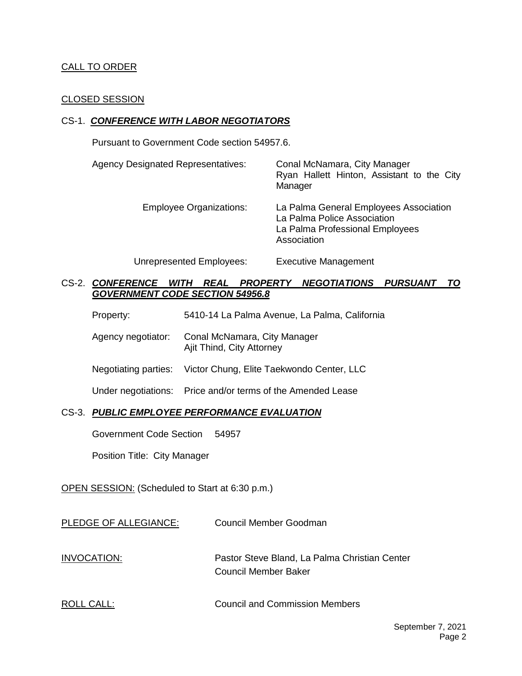#### CALL TO ORDER

#### CLOSED SESSION

#### CS-1. *CONFERENCE WITH LABOR NEGOTIATORS*

Pursuant to Government Code section 54957.6.

| <b>Agency Designated Representatives:</b> | Conal McNamara, City Manager<br>Ryan Hallett Hinton, Assistant to the City<br>Manager                                   |
|-------------------------------------------|-------------------------------------------------------------------------------------------------------------------------|
| <b>Employee Organizations:</b>            | La Palma General Employees Association<br>La Palma Police Association<br>La Palma Professional Employees<br>Association |
| Unrepresented Employees:                  | <b>Executive Management</b>                                                                                             |

CS-2. *CONFERENCE WITH REAL PROPERTY NEGOTIATIONS PURSUANT TO GOVERNMENT CODE SECTION 54956.8*

| 5410-14 La Palma Avenue, La Palma, California<br>Property: |  |
|------------------------------------------------------------|--|
|------------------------------------------------------------|--|

Agency negotiator: Conal McNamara, City Manager Ajit Thind, City Attorney

Negotiating parties: Victor Chung, Elite Taekwondo Center, LLC

Under negotiations: Price and/or terms of the Amended Lease

#### CS-3. *PUBLIC EMPLOYEE PERFORMANCE EVALUATION*

Government Code Section 54957

Position Title: City Manager

OPEN SESSION: (Scheduled to Start at 6:30 p.m.)

| PLEDGE OF ALLEGIANCE: | Council Member Goodman |
|-----------------------|------------------------|
|                       |                        |

INVOCATION: Pastor Steve Bland, La Palma Christian Center Council Member Baker

ROLL CALL: COUNCIL CALL: Council and Commission Members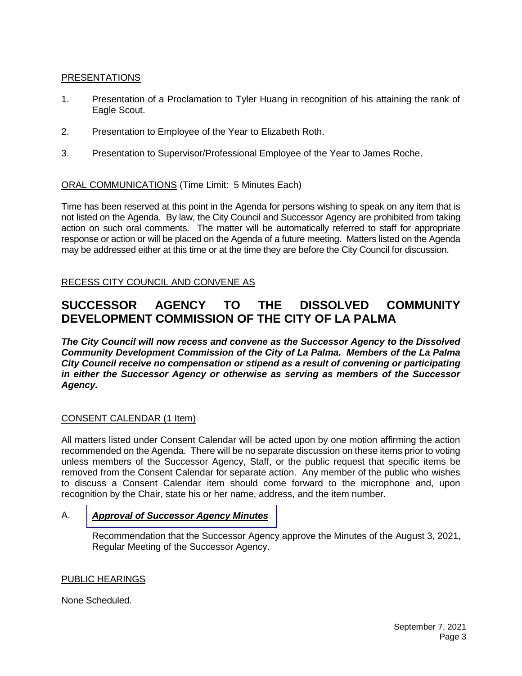## PRESENTATIONS

- 1. Presentation of a Proclamation to Tyler Huang in recognition of his attaining the rank of Eagle Scout.
- 2. Presentation to Employee of the Year to Elizabeth Roth.
- 3. Presentation to Supervisor/Professional Employee of the Year to James Roche.

## ORAL COMMUNICATIONS (Time Limit: 5 Minutes Each)

Time has been reserved at this point in the Agenda for persons wishing to speak on any item that is not listed on the Agenda. By law, the City Council and Successor Agency are prohibited from taking action on such oral comments. The matter will be automatically referred to staff for appropriate response or action or will be placed on the Agenda of a future meeting. Matters listed on the Agenda may be addressed either at this time or at the time they are before the City Council for discussion.

RECESS CITY COUNCIL AND CONVENE AS

# **SUCCESSOR AGENCY TO THE DISSOLVED COMMUNITY DEVELOPMENT COMMISSION OF THE CITY OF LA PALMA**

*The City Council will now recess and convene as the Successor Agency to the Dissolved Community Development Commission of the City of La Palma. Members of the La Palma City Council receive no compensation or stipend as a result of convening or participating in either the Successor Agency or otherwise as serving as members of the Successor Agency.*

#### CONSENT CALENDAR (1 Item)

All matters listed under Consent Calendar will be acted upon by one motion affirming the action recommended on the Agenda. There will be no separate discussion on these items prior to voting unless members of the Successor Agency, Staff, or the public request that specific items be removed from the Consent Calendar for separate action. Any member of the public who wishes to discuss a Consent Calendar item should come forward to the microphone and, upon recognition by the Chair, state his or her name, address, and the item number.

#### A. *Approval of [Successor](https://www.cityoflapalma.org/DocumentCenter/View/11098/Item-A_SA-Minutes) Agency Minutes*

Recommendation that the Successor Agency approve the Minutes of the August 3, 2021, Regular Meeting of the Successor Agency.

#### PUBLIC HEARINGS

None Scheduled.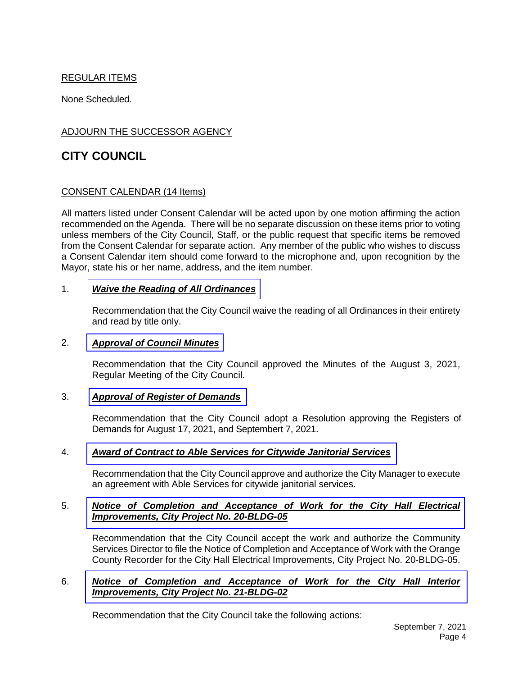# REGULAR ITEMS

None Scheduled.

## ADJOURN THE SUCCESSOR AGENCY

# **CITY COUNCIL**

#### CONSENT CALENDAR (14 Items)

All matters listed under Consent Calendar will be acted upon by one motion affirming the action recommended on the Agenda. There will be no separate discussion on these items prior to voting unless members of the City Council, Staff, or the public request that specific items be removed from the Consent Calendar for separate action. Any member of the public who wishes to discuss a Consent Calendar item should come forward to the microphone and, upon recognition by the Mayor, state his or her name, address, and the item number.

#### 1. *[Waive the Reading of All Ordinances](https://www.cityoflapalma.org/DocumentCenter/View/11099/Item-1_SR-Reading-of-Ordinances)*

Recommendation that the City Council waive the reading of all Ordinances in their entirety and read by title only.

#### 2. *[Approval of Council Minutes](https://www.cityoflapalma.org/DocumentCenter/View/11100/Item-2_CC-Minutes)*

Recommendation that the City Council approved the Minutes of the August 3, 2021, Regular Meeting of the City Council.

#### 3. *[Approval of Register of Demands](https://www.cityoflapalma.org/DocumentCenter/View/11101/Item-3_CC-Warrants)*

Recommendation that the City Council adopt a Resolution approving the Registers of Demands for August 17, 2021, and Septembert 7, 2021.

#### 4. *[Award of Contract to Able Services for Citywide Janitorial Services](https://www.cityoflapalma.org/DocumentCenter/View/11102/Item-4_ABLE-Janitorial-Award-of-Contract)*

Recommendation that the City Council approve and authorize the City Manager to execute an agreement with Able Services for citywide janitorial services.

#### 5. *[Notice of Completion and Acceptance of Work for the City Hall Electrical](https://www.cityoflapalma.org/DocumentCenter/View/11103/Item-5_NOC-CH-Electrical-Improvements)  Improvements, City Project No. 20-BLDG-05*

Recommendation that the City Council accept the work and authorize the Community Services Director to file the Notice of Completion and Acceptance of Work with the Orange County Recorder for the City Hall Electrical Improvements, City Project No. 20-BLDG-05.

#### 6. *[Notice of Completion and Acceptance of Work for the City Hall Interior](https://www.cityoflapalma.org/DocumentCenter/View/11104/Item-6_NOC-CH-Interior-Imp-2021-09-07)  Improvements, City Project No. 21-BLDG-02*

Recommendation that the City Council take the following actions: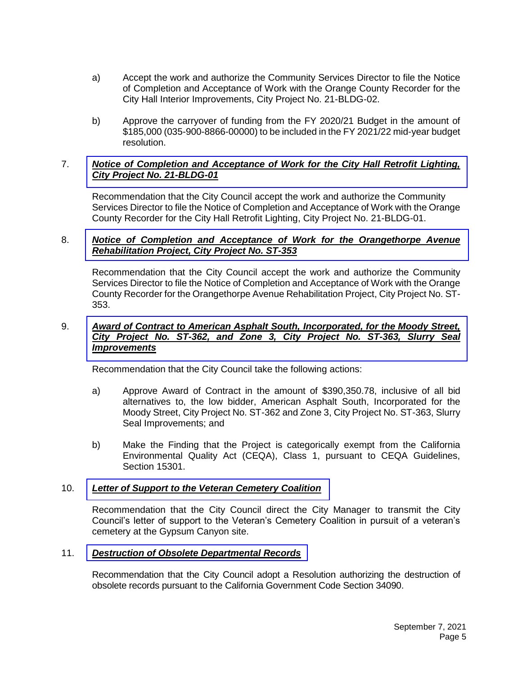- a) Accept the work and authorize the Community Services Director to file the Notice of Completion and Acceptance of Work with the Orange County Recorder for the City Hall Interior Improvements, City Project No. 21-BLDG-02.
- b) Approve the carryover of funding from the FY 2020/21 Budget in the amount of \$185,000 (035-900-8866-00000) to be included in the FY 2021/22 mid-year budget resolution.

#### 7. *[Notice of Completion and Acceptance of](https://www.cityoflapalma.org/DocumentCenter/View/11105/Item-7_NOC-CH-Lighting) Work for the City Hall Retrofit Lighting, City Project No. 21-BLDG-01*

Recommendation that the City Council accept the work and authorize the Community Services Director to file the Notice of Completion and Acceptance of Work with the Orange County Recorder for the City Hall Retrofit Lighting, City Project No. 21-BLDG-01.

#### 8. *[Notice of Completion and Acceptance of Work for the Orangethorpe Avenue](https://www.cityoflapalma.org/DocumentCenter/View/11106/Item-8_NOC-ST-353-Orangethorpe-Rehab)  Rehabilitation Project, City Project No. ST-353*

Recommendation that the City Council accept the work and authorize the Community Services Director to file the Notice of Completion and Acceptance of Work with the Orange County Recorder for the Orangethorpe Avenue Rehabilitation Project, City Project No. ST-353.

#### 9. *Award of Contract to American Asphalt South, Incorporated, for the Moody Street, [City Project No. ST-362, and Zone 3, City Project No. ST-363, Slurry Seal](https://www.cityoflapalma.org/DocumentCenter/View/11108/Item-9_Moody-St--Zone-3_ST-362-and-363-AOC)  Improvements*

Recommendation that the City Council take the following actions:

- a) Approve Award of Contract in the amount of \$390,350.78, inclusive of all bid alternatives to, the low bidder, American Asphalt South, Incorporated for the Moody Street, City Project No. ST-362 and Zone 3, City Project No. ST-363, Slurry Seal Improvements; and
- b) Make the Finding that the Project is categorically exempt from the California Environmental Quality Act (CEQA), Class 1, pursuant to CEQA Guidelines, Section 15301.

#### 10. *[Letter of Support to the Veteran Cemetery Coalition](https://www.cityoflapalma.org/DocumentCenter/View/11090/Item-10_Letter-of-Support-for-OC-Veterans-Cemetary)*

Recommendation that the City Council direct the City Manager to transmit the City Council's letter of support to the Veteran's Cemetery Coalition in pursuit of a veteran's cemetery at the Gypsum Canyon site.

#### 11. *[Destruction of Obsolete Departmental Records](https://www.cityoflapalma.org/DocumentCenter/View/11091/Item-11_Records-Destruction-and-Resolution-2021)*

Recommendation that the City Council adopt a Resolution authorizing the destruction of obsolete records pursuant to the California Government Code Section 34090.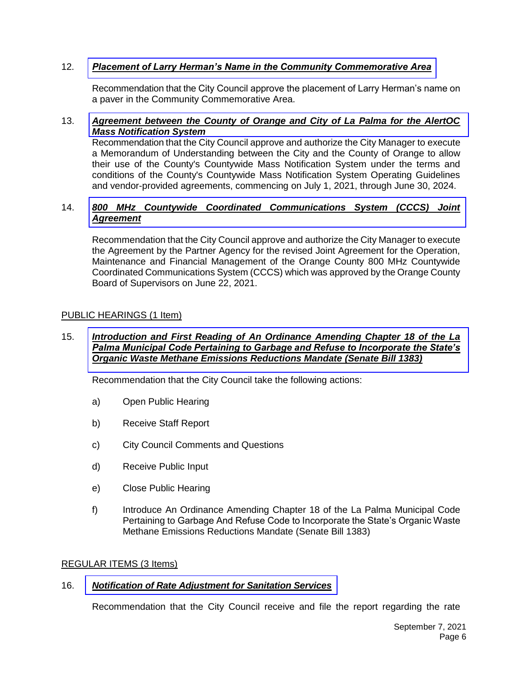## 12. *[Placement of Larry Herman's Name in the Community Commemorative Area](https://www.cityoflapalma.org/DocumentCenter/View/11092/Item-12_Larry-Herman-Community-Commemorative-Application)*

Recommendation that the City Council approve the placement of Larry Herman's name on a paver in the Community Commemorative Area.

#### 13. *[Agreement between the County of Orange and City of La Palma for the AlertOC](https://www.cityoflapalma.org/DocumentCenter/View/11093/Item-13_AlertOC-Agreement)  Mass Notification System*

Recommendation that the City Council approve and authorize the City Manager to execute a Memorandum of Understanding between the City and the County of Orange to allow their use of the County's Countywide Mass Notification System under the terms and conditions of the County's Countywide Mass Notification System Operating Guidelines and vendor-provided agreements, commencing on July 1, 2021, through June 30, 2024.

#### 14. *[800 MHz Countywide Coordinated Communications System \(CCCS\) Joint](https://www.cityoflapalma.org/DocumentCenter/View/11094/Item-14_800-MHz-Joint-Agreement)  Agreement*

Recommendation that the City Council approve and authorize the City Manager to execute the Agreement by the Partner Agency for the revised Joint Agreement for the Operation, Maintenance and Financial Management of the Orange County 800 MHz Countywide Coordinated Communications System (CCCS) which was approved by the Orange County Board of Supervisors on June 22, 2021.

#### PUBLIC HEARINGS (1 Item)

#### 15. *Introduction and First Reading of An Ordinance Amending Chapter 18 of the La [Palma Municipal Code Pertaining to Garbage and Refuse to Incorporate the State's](https://www.cityoflapalma.org/DocumentCenter/View/11095/Item-15_SB1383-Ordinace-1st-Reading)  Organic Waste Methane Emissions Reductions Mandate (Senate Bill 1383)*

Recommendation that the City Council take the following actions:

- a) Open Public Hearing
- b) Receive Staff Report
- c) City Council Comments and Questions
- d) Receive Public Input
- e) Close Public Hearing
- f) Introduce An Ordinance Amending Chapter 18 of the La Palma Municipal Code Pertaining to Garbage And Refuse Code to Incorporate the State's Organic Waste Methane Emissions Reductions Mandate (Senate Bill 1383)

#### REGULAR ITEMS (3 Items)

#### 16. *[Notification of Rate Adjustment for Sanitation Services](https://www.cityoflapalma.org/DocumentCenter/View/11096/Item-16_-EDCO-Rate-Adjustment)*

Recommendation that the City Council receive and file the report regarding the rate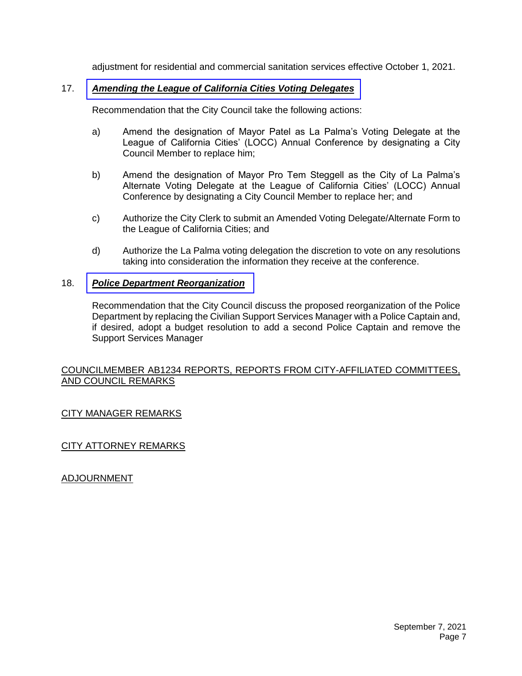adjustment for residential and commercial sanitation services effective October 1, 2021.

## 17. *[Amending the League of California Cities Voting Delegates](https://www.cityoflapalma.org/DocumentCenter/View/11109/Item-17_LOCCs-Annual-Conference_Alternate-Voting-Delegates)*

Recommendation that the City Council take the following actions:

- a) Amend the designation of Mayor Patel as La Palma's Voting Delegate at the League of California Cities' (LOCC) Annual Conference by designating a City Council Member to replace him;
- b) Amend the designation of Mayor Pro Tem Steggell as the City of La Palma's Alternate Voting Delegate at the League of California Cities' (LOCC) Annual Conference by designating a City Council Member to replace her; and
- c) Authorize the City Clerk to submit an Amended Voting Delegate/Alternate Form to the League of California Cities; and
- d) Authorize the La Palma voting delegation the discretion to vote on any resolutions taking into consideration the information they receive at the conference.

## 18. *[Police Department Reorganization](https://www.cityoflapalma.org/DocumentCenter/View/11097/Item-18_PD-Reorganization)*

Recommendation that the City Council discuss the proposed reorganization of the Police Department by replacing the Civilian Support Services Manager with a Police Captain and, if desired, adopt a budget resolution to add a second Police Captain and remove the Support Services Manager

#### COUNCILMEMBER AB1234 REPORTS, REPORTS FROM CITY-AFFILIATED COMMITTEES, AND COUNCIL REMARKS

# CITY MANAGER REMARKS

# CITY ATTORNEY REMARKS

# ADJOURNMENT